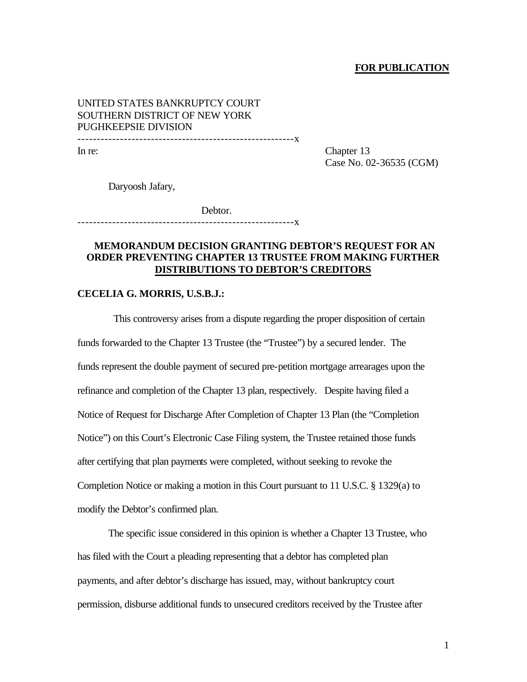### **FOR PUBLICATION**

# UNITED STATES BANKRUPTCY COURT SOUTHERN DISTRICT OF NEW YORK PUGHKEEPSIE DIVISION --------------------------------------------------------x

In re: Chapter 13 Case No. 02-36535 (CGM)

Daryoosh Jafary,

Debtor. --------------------------------------------------------x

# **MEMORANDUM DECISION GRANTING DEBTOR'S REQUEST FOR AN ORDER PREVENTING CHAPTER 13 TRUSTEE FROM MAKING FURTHER DISTRIBUTIONS TO DEBTOR'S CREDITORS**

#### **CECELIA G. MORRIS, U.S.B.J.:**

 This controversy arises from a dispute regarding the proper disposition of certain funds forwarded to the Chapter 13 Trustee (the "Trustee") by a secured lender. The funds represent the double payment of secured pre-petition mortgage arrearages upon the refinance and completion of the Chapter 13 plan, respectively. Despite having filed a Notice of Request for Discharge After Completion of Chapter 13 Plan (the "Completion Notice") on this Court's Electronic Case Filing system, the Trustee retained those funds after certifying that plan payments were completed, without seeking to revoke the Completion Notice or making a motion in this Court pursuant to 11 U.S.C. § 1329(a) to modify the Debtor's confirmed plan.

The specific issue considered in this opinion is whether a Chapter 13 Trustee, who has filed with the Court a pleading representing that a debtor has completed plan payments, and after debtor's discharge has issued, may, without bankruptcy court permission, disburse additional funds to unsecured creditors received by the Trustee after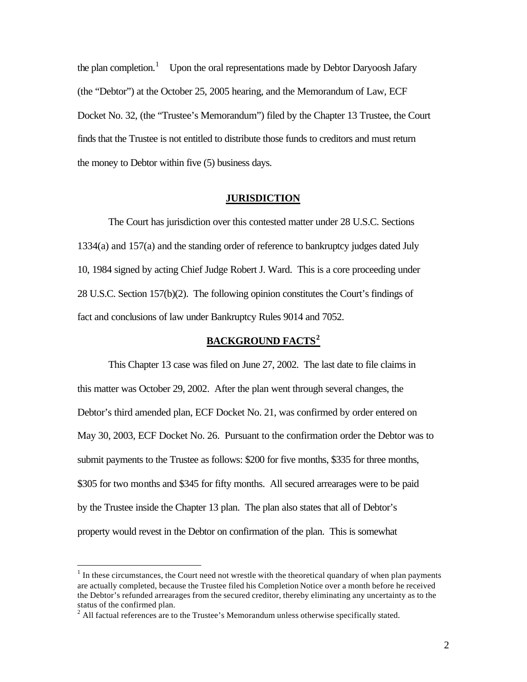the plan completion.<sup>1</sup> Upon the oral representations made by Debtor Daryoosh Jafary (the "Debtor") at the October 25, 2005 hearing, and the Memorandum of Law, ECF Docket No. 32, (the "Trustee's Memorandum") filed by the Chapter 13 Trustee, the Court finds that the Trustee is not entitled to distribute those funds to creditors and must return the money to Debtor within five (5) business days.

## **JURISDICTION**

The Court has jurisdiction over this contested matter under 28 U.S.C. Sections 1334(a) and 157(a) and the standing order of reference to bankruptcy judges dated July 10, 1984 signed by acting Chief Judge Robert J. Ward. This is a core proceeding under 28 U.S.C. Section 157(b)(2). The following opinion constitutes the Court's findings of fact and conclusions of law under Bankruptcy Rules 9014 and 7052.

# **BACKGROUND FACTS<sup>2</sup>**

This Chapter 13 case was filed on June 27, 2002. The last date to file claims in this matter was October 29, 2002. After the plan went through several changes, the Debtor's third amended plan, ECF Docket No. 21, was confirmed by order entered on May 30, 2003, ECF Docket No. 26. Pursuant to the confirmation order the Debtor was to submit payments to the Trustee as follows: \$200 for five months, \$335 for three months, \$305 for two months and \$345 for fifty months. All secured arrearages were to be paid by the Trustee inside the Chapter 13 plan. The plan also states that all of Debtor's property would revest in the Debtor on confirmation of the plan. This is somewhat

 $\overline{a}$ 

 $<sup>1</sup>$  In these circumstances, the Court need not wrestle with the theoretical quandary of when plan payments</sup> are actually completed, because the Trustee filed his Completion Notice over a month before he received the Debtor's refunded arrearages from the secured creditor, thereby eliminating any uncertainty as to the status of the confirmed plan.

 $2$  All factual references are to the Trustee's Memorandum unless otherwise specifically stated.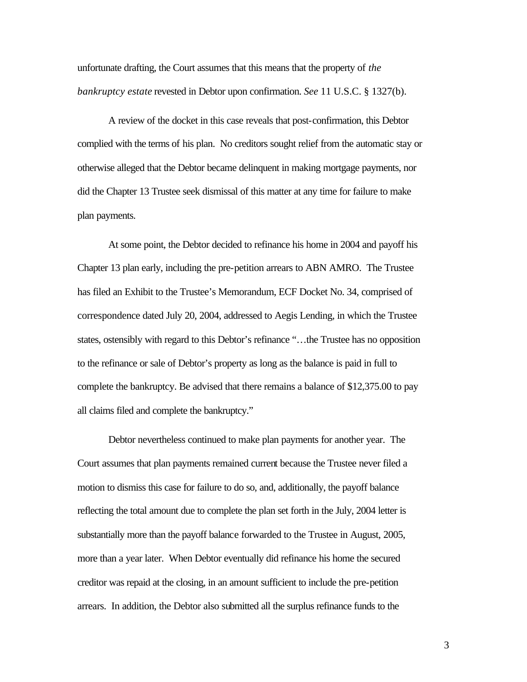unfortunate drafting, the Court assumes that this means that the property of *the bankruptcy estate* revested in Debtor upon confirmation. *See* 11 U.S.C. § 1327(b).

A review of the docket in this case reveals that post-confirmation, this Debtor complied with the terms of his plan. No creditors sought relief from the automatic stay or otherwise alleged that the Debtor became delinquent in making mortgage payments, nor did the Chapter 13 Trustee seek dismissal of this matter at any time for failure to make plan payments.

At some point, the Debtor decided to refinance his home in 2004 and payoff his Chapter 13 plan early, including the pre-petition arrears to ABN AMRO. The Trustee has filed an Exhibit to the Trustee's Memorandum, ECF Docket No. 34, comprised of correspondence dated July 20, 2004, addressed to Aegis Lending, in which the Trustee states, ostensibly with regard to this Debtor's refinance "…the Trustee has no opposition to the refinance or sale of Debtor's property as long as the balance is paid in full to complete the bankruptcy. Be advised that there remains a balance of \$12,375.00 to pay all claims filed and complete the bankruptcy."

Debtor nevertheless continued to make plan payments for another year. The Court assumes that plan payments remained current because the Trustee never filed a motion to dismiss this case for failure to do so, and, additionally, the payoff balance reflecting the total amount due to complete the plan set forth in the July, 2004 letter is substantially more than the payoff balance forwarded to the Trustee in August, 2005, more than a year later. When Debtor eventually did refinance his home the secured creditor was repaid at the closing, in an amount sufficient to include the pre-petition arrears. In addition, the Debtor also submitted all the surplus refinance funds to the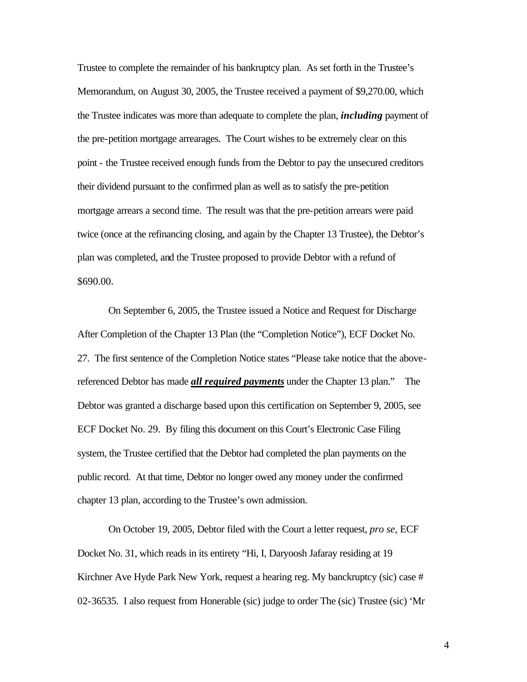Trustee to complete the remainder of his bankruptcy plan. As set forth in the Trustee's Memorandum, on August 30, 2005, the Trustee received a payment of \$9,270.00, which the Trustee indicates was more than adequate to complete the plan, *including* payment of the pre-petition mortgage arrearages. The Court wishes to be extremely clear on this point - the Trustee received enough funds from the Debtor to pay the unsecured creditors their dividend pursuant to the confirmed plan as well as to satisfy the pre-petition mortgage arrears a second time. The result was that the pre-petition arrears were paid twice (once at the refinancing closing, and again by the Chapter 13 Trustee), the Debtor's plan was completed, and the Trustee proposed to provide Debtor with a refund of \$690.00.

On September 6, 2005, the Trustee issued a Notice and Request for Discharge After Completion of the Chapter 13 Plan (the "Completion Notice"), ECF Docket No. 27. The first sentence of the Completion Notice states "Please take notice that the abovereferenced Debtor has made *all required payments* under the Chapter 13 plan." The Debtor was granted a discharge based upon this certification on September 9, 2005, see ECF Docket No. 29. By filing this document on this Court's Electronic Case Filing system, the Trustee certified that the Debtor had completed the plan payments on the public record. At that time, Debtor no longer owed any money under the confirmed chapter 13 plan, according to the Trustee's own admission.

On October 19, 2005, Debtor filed with the Court a letter request, *pro se*, ECF Docket No. 31, which reads in its entirety "Hi, I, Daryoosh Jafaray residing at 19 Kirchner Ave Hyde Park New York, request a hearing reg. My banckruptcy (sic) case # 02-36535. I also request from Honerable (sic) judge to order The (sic) Trustee (sic) 'Mr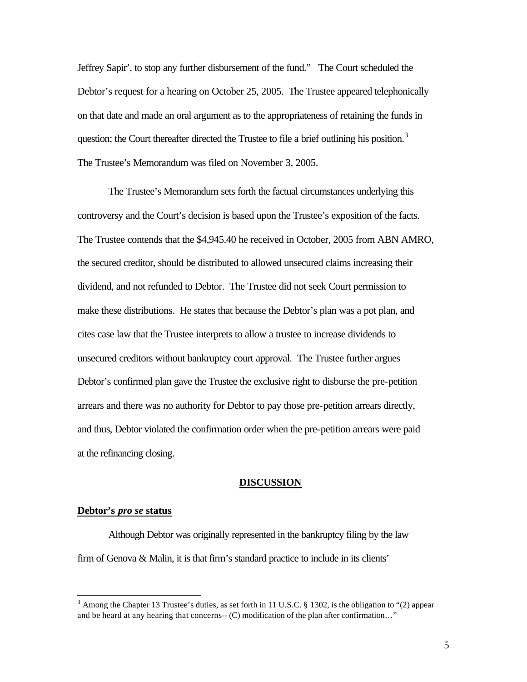Jeffrey Sapir', to stop any further disbursement of the fund." The Court scheduled the Debtor's request for a hearing on October 25, 2005. The Trustee appeared telephonically on that date and made an oral argument as to the appropriateness of retaining the funds in question; the Court thereafter directed the Trustee to file a brief outlining his position.<sup>3</sup> The Trustee's Memorandum was filed on November 3, 2005.

The Trustee's Memorandum sets forth the factual circumstances underlying this controversy and the Court's decision is based upon the Trustee's exposition of the facts. The Trustee contends that the \$4,945.40 he received in October, 2005 from ABN AMRO, the secured creditor, should be distributed to allowed unsecured claims increasing their dividend, and not refunded to Debtor. The Trustee did not seek Court permission to make these distributions. He states that because the Debtor's plan was a pot plan, and cites case law that the Trustee interprets to allow a trustee to increase dividends to unsecured creditors without bankruptcy court approval. The Trustee further argues Debtor's confirmed plan gave the Trustee the exclusive right to disburse the pre-petition arrears and there was no authority for Debtor to pay those pre-petition arrears directly, and thus, Debtor violated the confirmation order when the pre-petition arrears were paid at the refinancing closing.

### **DISCUSSION**

### **Debtor's** *pro se* **status**

 $\overline{a}$ 

Although Debtor was originally represented in the bankruptcy filing by the law firm of Genova & Malin, it is that firm's standard practice to include in its clients'

<sup>&</sup>lt;sup>3</sup> Among the Chapter 13 Trustee's duties, as set forth in 11 U.S.C. § 1302, is the obligation to "(2) appear and be heard at any hearing that concerns-- (C) modification of the plan after confirmation…"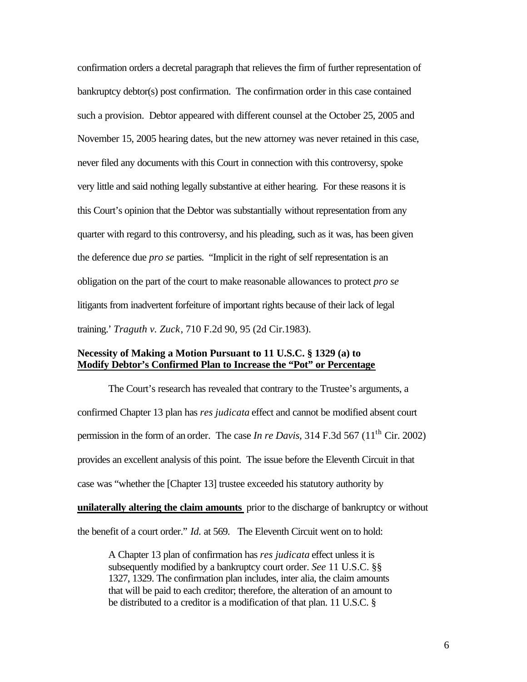confirmation orders a decretal paragraph that relieves the firm of further representation of bankruptcy debtor(s) post confirmation. The confirmation order in this case contained such a provision. Debtor appeared with different counsel at the October 25, 2005 and November 15, 2005 hearing dates, but the new attorney was never retained in this case, never filed any documents with this Court in connection with this controversy, spoke very little and said nothing legally substantive at either hearing. For these reasons it is this Court's opinion that the Debtor was substantially without representation from any quarter with regard to this controversy, and his pleading, such as it was, has been given the deference due *pro se* parties. "Implicit in the right of self representation is an obligation on the part of the court to make reasonable allowances to protect *pro se*  litigants from inadvertent forfeiture of important rights because of their lack of legal training.' *Traguth v. Zuck*, 710 F.2d 90, 95 (2d Cir.1983).

# **Necessity of Making a Motion Pursuant to 11 U.S.C. § 1329 (a) to Modify Debtor's Confirmed Plan to Increase the "Pot" or Percentage**

The Court's research has revealed that contrary to the Trustee's arguments, a confirmed Chapter 13 plan has *res judicata* effect and cannot be modified absent court permission in the form of an order. The case *In re Davis*, 314 F.3d 567 (11<sup>th</sup> Cir. 2002) provides an excellent analysis of this point. The issue before the Eleventh Circuit in that case was "whether the [Chapter 13] trustee exceeded his statutory authority by **unilaterally altering the claim amounts** prior to the discharge of bankruptcy or without the benefit of a court order." *Id.* at 569. The Eleventh Circuit went on to hold:

A Chapter 13 plan of confirmation has *res judicata* effect unless it is subsequently modified by a bankruptcy court order. *See* 11 U.S.C. §§ 1327, 1329. The confirmation plan includes, inter alia, the claim amounts that will be paid to each creditor; therefore, the alteration of an amount to be distributed to a creditor is a modification of that plan. 11 U.S.C. §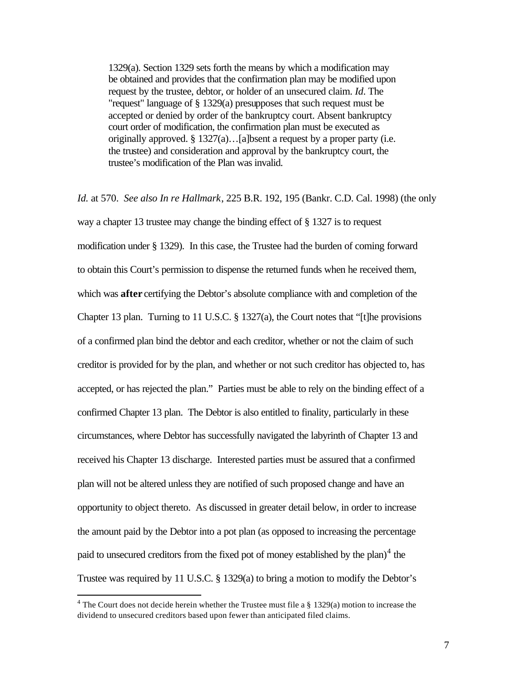1329(a). Section 1329 sets forth the means by which a modification may be obtained and provides that the confirmation plan may be modified upon request by the trustee, debtor, or holder of an unsecured claim. *Id*. The "request" language of § 1329(a) presupposes that such request must be accepted or denied by order of the bankruptcy court. Absent bankruptcy court order of modification, the confirmation plan must be executed as originally approved. § 1327(a)…[a]bsent a request by a proper party (i.e. the trustee) and consideration and approval by the bankruptcy court, the trustee's modification of the Plan was invalid.

*Id.* at 570. *See also In re Hallmark*, 225 B.R. 192, 195 (Bankr. C.D. Cal. 1998) (the only way a chapter 13 trustee may change the binding effect of § 1327 is to request modification under § 1329). In this case, the Trustee had the burden of coming forward to obtain this Court's permission to dispense the returned funds when he received them, which was **after** certifying the Debtor's absolute compliance with and completion of the Chapter 13 plan. Turning to 11 U.S.C. § 1327(a), the Court notes that "[t]he provisions of a confirmed plan bind the debtor and each creditor, whether or not the claim of such creditor is provided for by the plan, and whether or not such creditor has objected to, has accepted, or has rejected the plan." Parties must be able to rely on the binding effect of a confirmed Chapter 13 plan. The Debtor is also entitled to finality, particularly in these circumstances, where Debtor has successfully navigated the labyrinth of Chapter 13 and received his Chapter 13 discharge. Interested parties must be assured that a confirmed plan will not be altered unless they are notified of such proposed change and have an opportunity to object thereto. As discussed in greater detail below, in order to increase the amount paid by the Debtor into a pot plan (as opposed to increasing the percentage paid to unsecured creditors from the fixed pot of money established by the plan) $4$  the Trustee was required by 11 U.S.C. § 1329(a) to bring a motion to modify the Debtor's

 4 The Court does not decide herein whether the Trustee must file a § 1329(a) motion to increase the dividend to unsecured creditors based upon fewer than anticipated filed claims.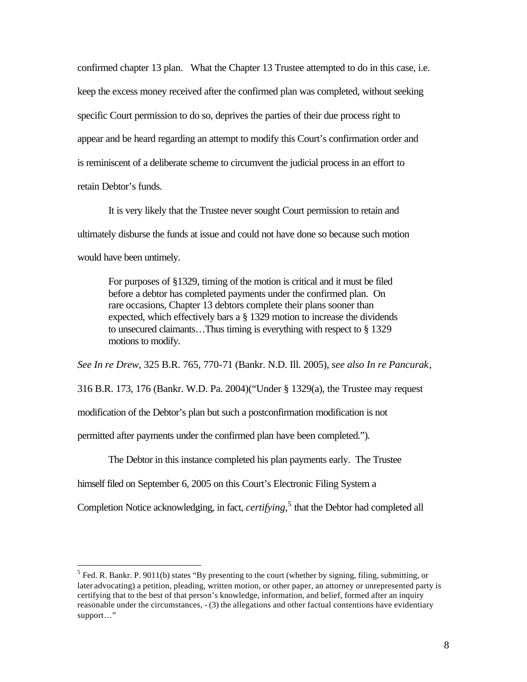confirmed chapter 13 plan. What the Chapter 13 Trustee attempted to do in this case, i.e. keep the excess money received after the confirmed plan was completed, without seeking specific Court permission to do so, deprives the parties of their due process right to appear and be heard regarding an attempt to modify this Court's confirmation order and is reminiscent of a deliberate scheme to circumvent the judicial process in an effort to retain Debtor's funds.

It is very likely that the Trustee never sought Court permission to retain and ultimately disburse the funds at issue and could not have done so because such motion would have been untimely.

For purposes of §1329, timing of the motion is critical and it must be filed before a debtor has completed payments under the confirmed plan. On rare occasions, Chapter 13 debtors complete their plans sooner than expected, which effectively bars a § 1329 motion to increase the dividends to unsecured claimants…Thus timing is everything with respect to § 1329 motions to modify.

*See In re Drew*, 325 B.R. 765, 770-71 (Bankr. N.D. Ill. 2005), *see also In re Pancurak*, 316 B.R. 173, 176 (Bankr. W.D. Pa. 2004)("Under § 1329(a), the Trustee may request modification of the Debtor's plan but such a postconfirmation modification is not permitted after payments under the confirmed plan have been completed.").

The Debtor in this instance completed his plan payments early. The Trustee

himself filed on September 6, 2005 on this Court's Electronic Filing System a

 $\overline{a}$ 

Completion Notice acknowledging, in fact, *certifying*,<sup>5</sup> that the Debtor had completed all

 $<sup>5</sup>$  Fed. R. Bankr. P. 9011(b) states "By presenting to the court (whether by signing, filing, submitting, or</sup> later advocating) a petition, pleading, written motion, or other paper, an attorney or unrepresented party is certifying that to the best of that person's knowledge, information, and belief, formed after an inquiry reasonable under the circumstances, - (3) the allegations and other factual contentions have evidentiary support..."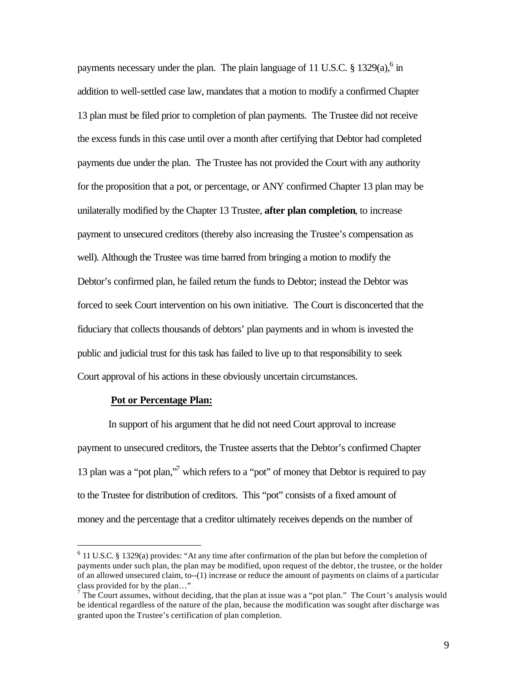payments necessary under the plan. The plain language of 11 U.S.C.  $\S 1329(a)$ ,  $6 \text{ in}$ addition to well-settled case law, mandates that a motion to modify a confirmed Chapter 13 plan must be filed prior to completion of plan payments. The Trustee did not receive the excess funds in this case until over a month after certifying that Debtor had completed payments due under the plan. The Trustee has not provided the Court with any authority for the proposition that a pot, or percentage, or ANY confirmed Chapter 13 plan may be unilaterally modified by the Chapter 13 Trustee, **after plan completion**, to increase payment to unsecured creditors (thereby also increasing the Trustee's compensation as well). Although the Trustee was time barred from bringing a motion to modify the Debtor's confirmed plan, he failed return the funds to Debtor; instead the Debtor was forced to seek Court intervention on his own initiative. The Court is disconcerted that the fiduciary that collects thousands of debtors' plan payments and in whom is invested the public and judicial trust for this task has failed to live up to that responsibility to seek Court approval of his actions in these obviously uncertain circumstances.

#### **Pot or Percentage Plan:**

 $\overline{a}$ 

In support of his argument that he did not need Court approval to increase payment to unsecured creditors, the Trustee asserts that the Debtor's confirmed Chapter 13 plan was a "pot plan,"<sup>7</sup> which refers to a "pot" of money that Debtor is required to pay to the Trustee for distribution of creditors. This "pot" consists of a fixed amount of money and the percentage that a creditor ultimately receives depends on the number of

 $6$  11 U.S.C. § 1329(a) provides: "At any time after confirmation of the plan but before the completion of payments under such plan, the plan may be modified, upon request of the debtor, the trustee, or the holder of an allowed unsecured claim, to--(1) increase or reduce the amount of payments on claims of a particular class provided for by the plan…"

 $<sup>7</sup>$  The Court assumes, without deciding, that the plan at issue was a "pot plan." The Court's analysis would</sup> be identical regardless of the nature of the plan, because the modification was sought after discharge was granted upon the Trustee's certification of plan completion.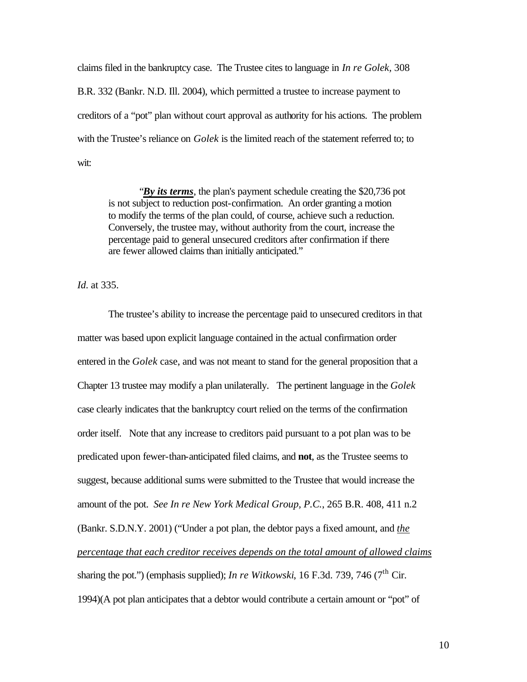claims filed in the bankruptcy case. The Trustee cites to language in *In re Golek,* 308 B.R. 332 (Bankr. N.D. Ill. 2004), which permitted a trustee to increase payment to creditors of a "pot" plan without court approval as authority for his actions. The problem with the Trustee's reliance on *Golek* is the limited reach of the statement referred to; to wit:

"*By its terms*, the plan's payment schedule creating the \$20,736 pot is not subject to reduction post-confirmation. An order granting a motion to modify the terms of the plan could, of course, achieve such a reduction. Conversely, the trustee may, without authority from the court, increase the percentage paid to general unsecured creditors after confirmation if there are fewer allowed claims than initially anticipated."

*Id*. at 335.

The trustee's ability to increase the percentage paid to unsecured creditors in that matter was based upon explicit language contained in the actual confirmation order entered in the *Golek* case, and was not meant to stand for the general proposition that a Chapter 13 trustee may modify a plan unilaterally. The pertinent language in the *Golek*  case clearly indicates that the bankruptcy court relied on the terms of the confirmation order itself. Note that any increase to creditors paid pursuant to a pot plan was to be predicated upon fewer-than-anticipated filed claims, and **not**, as the Trustee seems to suggest, because additional sums were submitted to the Trustee that would increase the amount of the pot. *See In re New York Medical Group, P.C.*, 265 B.R. 408, 411 n.2 (Bankr. S.D.N.Y. 2001) ("Under a pot plan, the debtor pays a fixed amount, and *the percentage that each creditor receives depends on the total amount of allowed claims*  sharing the pot.") (emphasis supplied); *In re Witkowski*, 16 F.3d. 739, 746 (7<sup>th</sup> Cir. 1994)(A pot plan anticipates that a debtor would contribute a certain amount or "pot" of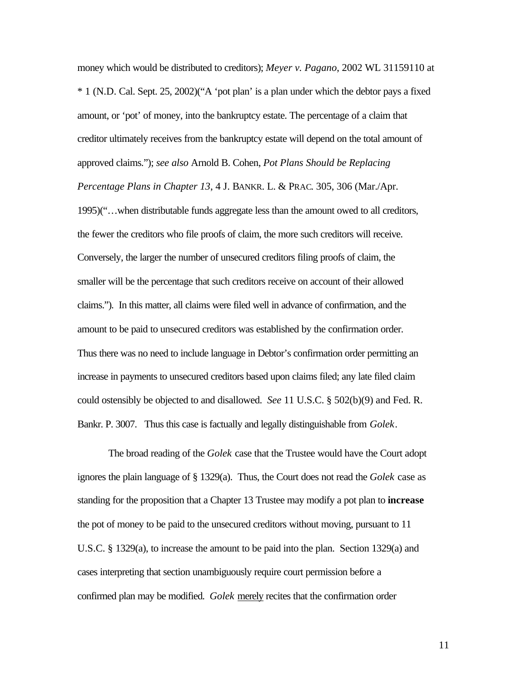money which would be distributed to creditors); *Meyer v. Pagano*, 2002 WL 31159110 at \* 1 (N.D. Cal. Sept. 25, 2002)("A 'pot plan' is a plan under which the debtor pays a fixed amount, or 'pot' of money, into the bankruptcy estate. The percentage of a claim that creditor ultimately receives from the bankruptcy estate will depend on the total amount of approved claims."); *see also* Arnold B. Cohen, *Pot Plans Should be Replacing* 

*Percentage Plans in Chapter 13*, 4 J. BANKR. L. & PRAC. 305, 306 (Mar./Apr.

1995)("…when distributable funds aggregate less than the amount owed to all creditors, the fewer the creditors who file proofs of claim, the more such creditors will receive. Conversely, the larger the number of unsecured creditors filing proofs of claim, the smaller will be the percentage that such creditors receive on account of their allowed claims."). In this matter, all claims were filed well in advance of confirmation, and the amount to be paid to unsecured creditors was established by the confirmation order. Thus there was no need to include language in Debtor's confirmation order permitting an increase in payments to unsecured creditors based upon claims filed; any late filed claim could ostensibly be objected to and disallowed. *See* 11 U.S.C. § 502(b)(9) and Fed. R. Bankr. P. 3007. Thus this case is factually and legally distinguishable from *Golek*.

The broad reading of the *Golek* case that the Trustee would have the Court adopt ignores the plain language of § 1329(a). Thus, the Court does not read the *Golek* case as standing for the proposition that a Chapter 13 Trustee may modify a pot plan to **increase** the pot of money to be paid to the unsecured creditors without moving, pursuant to 11 U.S.C. § 1329(a), to increase the amount to be paid into the plan. Section 1329(a) and cases interpreting that section unambiguously require court permission before a confirmed plan may be modified. *Golek* merely recites that the confirmation order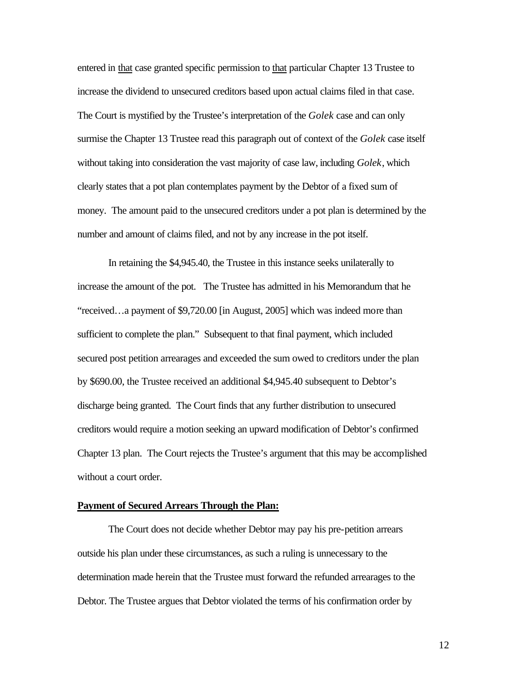entered in that case granted specific permission to that particular Chapter 13 Trustee to increase the dividend to unsecured creditors based upon actual claims filed in that case. The Court is mystified by the Trustee's interpretation of the *Golek* case and can only surmise the Chapter 13 Trustee read this paragraph out of context of the *Golek* case itself without taking into consideration the vast majority of case law, including *Golek*, which clearly states that a pot plan contemplates payment by the Debtor of a fixed sum of money. The amount paid to the unsecured creditors under a pot plan is determined by the number and amount of claims filed, and not by any increase in the pot itself.

In retaining the \$4,945.40, the Trustee in this instance seeks unilaterally to increase the amount of the pot. The Trustee has admitted in his Memorandum that he "received…a payment of \$9,720.00 [in August, 2005] which was indeed more than sufficient to complete the plan." Subsequent to that final payment, which included secured post petition arrearages and exceeded the sum owed to creditors under the plan by \$690.00, the Trustee received an additional \$4,945.40 subsequent to Debtor's discharge being granted. The Court finds that any further distribution to unsecured creditors would require a motion seeking an upward modification of Debtor's confirmed Chapter 13 plan. The Court rejects the Trustee's argument that this may be accomplished without a court order.

#### **Payment of Secured Arrears Through the Plan:**

The Court does not decide whether Debtor may pay his pre-petition arrears outside his plan under these circumstances, as such a ruling is unnecessary to the determination made herein that the Trustee must forward the refunded arrearages to the Debtor. The Trustee argues that Debtor violated the terms of his confirmation order by